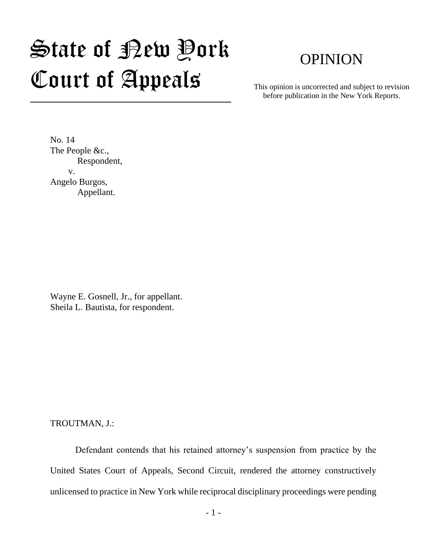## State of New York Court of Appeals

## OPINION

This opinion is uncorrected and subject to revision before publication in the New York Reports.

No. 14 The People &c., Respondent, v. Angelo Burgos, Appellant.

Wayne E. Gosnell, Jr., for appellant. Sheila L. Bautista, for respondent.

TROUTMAN, J.:

Defendant contends that his retained attorney's suspension from practice by the United States Court of Appeals, Second Circuit, rendered the attorney constructively unlicensed to practice in New York while reciprocal disciplinary proceedings were pending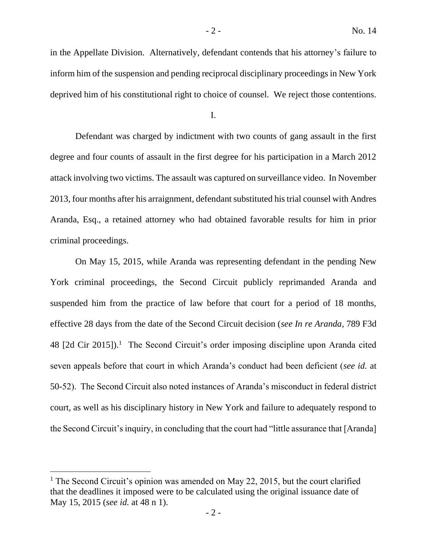in the Appellate Division. Alternatively, defendant contends that his attorney's failure to inform him of the suspension and pending reciprocal disciplinary proceedings in New York deprived him of his constitutional right to choice of counsel. We reject those contentions.

I.

Defendant was charged by indictment with two counts of gang assault in the first degree and four counts of assault in the first degree for his participation in a March 2012 attack involving two victims. The assault was captured on surveillance video. In November 2013, four months after his arraignment, defendant substituted his trial counsel with Andres Aranda, Esq., a retained attorney who had obtained favorable results for him in prior criminal proceedings.

On May 15, 2015, while Aranda was representing defendant in the pending New York criminal proceedings, the Second Circuit publicly reprimanded Aranda and suspended him from the practice of law before that court for a period of 18 months, effective 28 days from the date of the Second Circuit decision (*see In re Aranda*, 789 F3d  $48$  [2d Cir 2015]).<sup>1</sup> The Second Circuit's order imposing discipline upon Aranda cited seven appeals before that court in which Aranda's conduct had been deficient (*see id.* at 50-52). The Second Circuit also noted instances of Aranda's misconduct in federal district court, as well as his disciplinary history in New York and failure to adequately respond to the Second Circuit's inquiry, in concluding that the court had "little assurance that [Aranda]

 $<sup>1</sup>$  The Second Circuit's opinion was amended on May 22, 2015, but the court clarified</sup> that the deadlines it imposed were to be calculated using the original issuance date of May 15, 2015 (*see id.* at 48 n 1).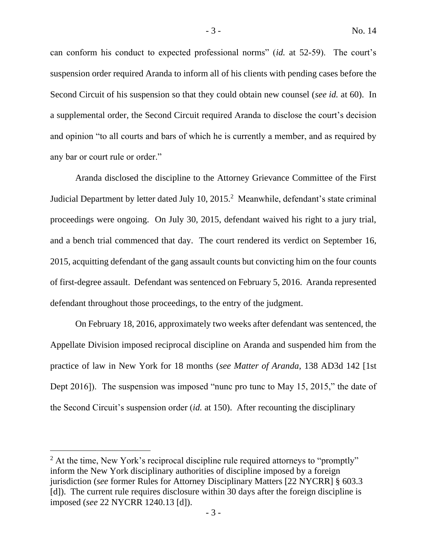can conform his conduct to expected professional norms" (*id.* at 52-59). The court's suspension order required Aranda to inform all of his clients with pending cases before the Second Circuit of his suspension so that they could obtain new counsel (*see id.* at 60). In a supplemental order, the Second Circuit required Aranda to disclose the court's decision and opinion "to all courts and bars of which he is currently a member, and as required by any bar or court rule or order."

Aranda disclosed the discipline to the Attorney Grievance Committee of the First Judicial Department by letter dated July 10, 2015.<sup>2</sup> Meanwhile, defendant's state criminal proceedings were ongoing. On July 30, 2015, defendant waived his right to a jury trial, and a bench trial commenced that day. The court rendered its verdict on September 16, 2015, acquitting defendant of the gang assault counts but convicting him on the four counts of first-degree assault. Defendant was sentenced on February 5, 2016. Aranda represented defendant throughout those proceedings, to the entry of the judgment.

On February 18, 2016, approximately two weeks after defendant was sentenced, the Appellate Division imposed reciprocal discipline on Aranda and suspended him from the practice of law in New York for 18 months (*see Matter of Aranda*, 138 AD3d 142 [1st Dept 2016]). The suspension was imposed "nunc pro tunc to May 15, 2015," the date of the Second Circuit's suspension order (*id.* at 150). After recounting the disciplinary

<sup>&</sup>lt;sup>2</sup> At the time, New York's reciprocal discipline rule required attorneys to "promptly" inform the New York disciplinary authorities of discipline imposed by a foreign jurisdiction (*see* former Rules for Attorney Disciplinary Matters [22 NYCRR] § 603.3 [d]). The current rule requires disclosure within 30 days after the foreign discipline is imposed (*see* 22 NYCRR 1240.13 [d]).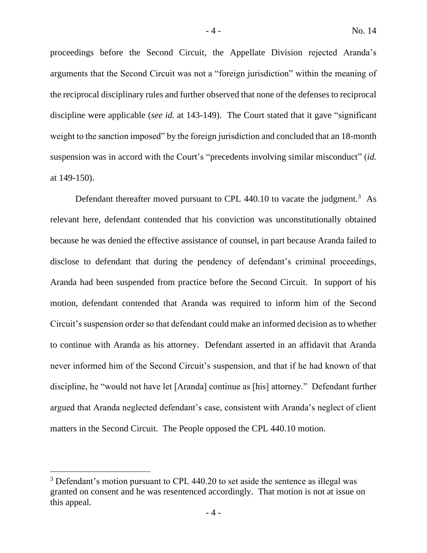proceedings before the Second Circuit, the Appellate Division rejected Aranda's arguments that the Second Circuit was not a "foreign jurisdiction" within the meaning of the reciprocal disciplinary rules and further observed that none of the defenses to reciprocal discipline were applicable (*see id.* at 143-149). The Court stated that it gave "significant weight to the sanction imposed" by the foreign jurisdiction and concluded that an 18-month suspension was in accord with the Court's "precedents involving similar misconduct" (*id.*  at 149-150).

Defendant thereafter moved pursuant to CPL 440.10 to vacate the judgment.<sup>3</sup> As relevant here, defendant contended that his conviction was unconstitutionally obtained because he was denied the effective assistance of counsel, in part because Aranda failed to disclose to defendant that during the pendency of defendant's criminal proceedings, Aranda had been suspended from practice before the Second Circuit. In support of his motion, defendant contended that Aranda was required to inform him of the Second Circuit's suspension order so that defendant could make an informed decision as to whether to continue with Aranda as his attorney. Defendant asserted in an affidavit that Aranda never informed him of the Second Circuit's suspension, and that if he had known of that discipline, he "would not have let [Aranda] continue as [his] attorney." Defendant further argued that Aranda neglected defendant's case, consistent with Aranda's neglect of client matters in the Second Circuit. The People opposed the CPL 440.10 motion.

<sup>&</sup>lt;sup>3</sup> Defendant's motion pursuant to CPL 440.20 to set aside the sentence as illegal was granted on consent and he was resentenced accordingly. That motion is not at issue on this appeal.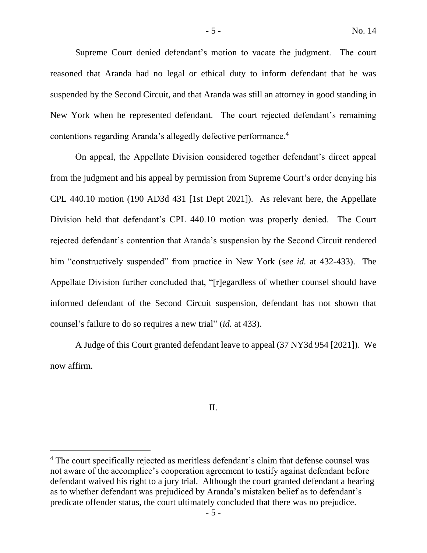Supreme Court denied defendant's motion to vacate the judgment. The court reasoned that Aranda had no legal or ethical duty to inform defendant that he was suspended by the Second Circuit, and that Aranda was still an attorney in good standing in New York when he represented defendant. The court rejected defendant's remaining contentions regarding Aranda's allegedly defective performance.<sup>4</sup>

On appeal, the Appellate Division considered together defendant's direct appeal from the judgment and his appeal by permission from Supreme Court's order denying his CPL 440.10 motion (190 AD3d 431 [1st Dept 2021]). As relevant here, the Appellate Division held that defendant's CPL 440.10 motion was properly denied. The Court rejected defendant's contention that Aranda's suspension by the Second Circuit rendered him "constructively suspended" from practice in New York (*see id.* at 432-433). The Appellate Division further concluded that, "[r]egardless of whether counsel should have informed defendant of the Second Circuit suspension, defendant has not shown that counsel's failure to do so requires a new trial" (*id.* at 433).

A Judge of this Court granted defendant leave to appeal (37 NY3d 954 [2021]). We now affirm.

## II.

<sup>&</sup>lt;sup>4</sup> The court specifically rejected as meritless defendant's claim that defense counsel was not aware of the accomplice's cooperation agreement to testify against defendant before defendant waived his right to a jury trial. Although the court granted defendant a hearing as to whether defendant was prejudiced by Aranda's mistaken belief as to defendant's predicate offender status, the court ultimately concluded that there was no prejudice.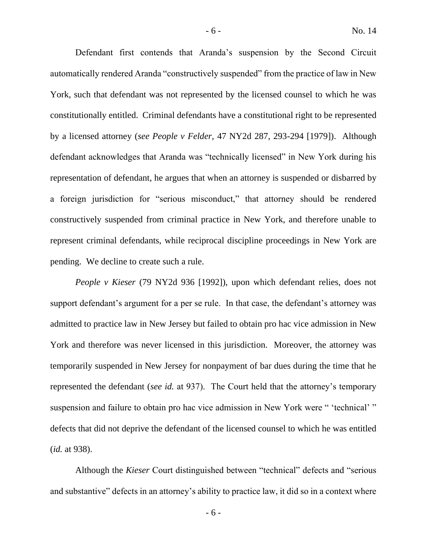Defendant first contends that Aranda's suspension by the Second Circuit automatically rendered Aranda "constructively suspended" from the practice of law in New York, such that defendant was not represented by the licensed counsel to which he was constitutionally entitled. Criminal defendants have a constitutional right to be represented by a licensed attorney (*see People v Felder*, 47 NY2d 287, 293-294 [1979]). Although defendant acknowledges that Aranda was "technically licensed" in New York during his representation of defendant, he argues that when an attorney is suspended or disbarred by a foreign jurisdiction for "serious misconduct," that attorney should be rendered constructively suspended from criminal practice in New York, and therefore unable to represent criminal defendants, while reciprocal discipline proceedings in New York are pending. We decline to create such a rule.

*People v Kieser* (79 NY2d 936 [1992]), upon which defendant relies, does not support defendant's argument for a per se rule. In that case, the defendant's attorney was admitted to practice law in New Jersey but failed to obtain pro hac vice admission in New York and therefore was never licensed in this jurisdiction. Moreover, the attorney was temporarily suspended in New Jersey for nonpayment of bar dues during the time that he represented the defendant (*see id.* at 937). The Court held that the attorney's temporary suspension and failure to obtain pro hac vice admission in New York were " 'technical' " defects that did not deprive the defendant of the licensed counsel to which he was entitled (*id.* at 938).

Although the *Kieser* Court distinguished between "technical" defects and "serious and substantive" defects in an attorney's ability to practice law, it did so in a context where

- 6 -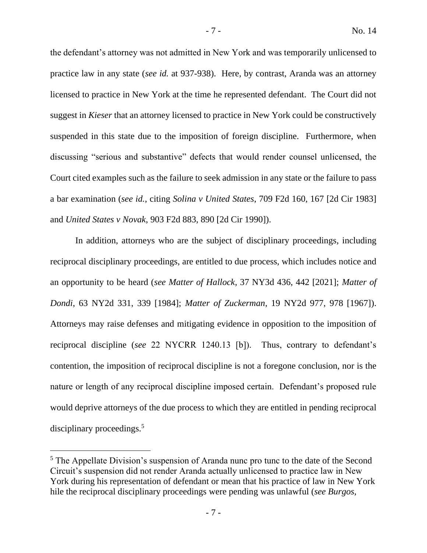the defendant's attorney was not admitted in New York and was temporarily unlicensed to practice law in any state (*see id.* at 937-938). Here, by contrast, Aranda was an attorney licensed to practice in New York at the time he represented defendant. The Court did not suggest in *Kieser* that an attorney licensed to practice in New York could be constructively suspended in this state due to the imposition of foreign discipline. Furthermore, when discussing "serious and substantive" defects that would render counsel unlicensed, the Court cited examples such as the failure to seek admission in any state or the failure to pass a bar examination (*see id.*, citing *Solina v United States*, 709 F2d 160, 167 [2d Cir 1983] and *United States v Novak*, 903 F2d 883, 890 [2d Cir 1990]).

In addition, attorneys who are the subject of disciplinary proceedings, including reciprocal disciplinary proceedings, are entitled to due process, which includes notice and an opportunity to be heard (*see Matter of Hallock*, 37 NY3d 436, 442 [2021]; *Matter of Dondi*, 63 NY2d 331, 339 [1984]; *Matter of Zuckerman*, 19 NY2d 977, 978 [1967]). Attorneys may raise defenses and mitigating evidence in opposition to the imposition of reciprocal discipline (*see* 22 NYCRR 1240.13 [b]). Thus, contrary to defendant's contention, the imposition of reciprocal discipline is not a foregone conclusion, nor is the nature or length of any reciprocal discipline imposed certain. Defendant's proposed rule would deprive attorneys of the due process to which they are entitled in pending reciprocal disciplinary proceedings.<sup>5</sup>

<sup>&</sup>lt;sup>5</sup> The Appellate Division's suspension of Aranda nunc pro tunc to the date of the Second Circuit's suspension did not render Aranda actually unlicensed to practice law in New York during his representation of defendant or mean that his practice of law in New York hile the reciprocal disciplinary proceedings were pending was unlawful (*see Burgos*,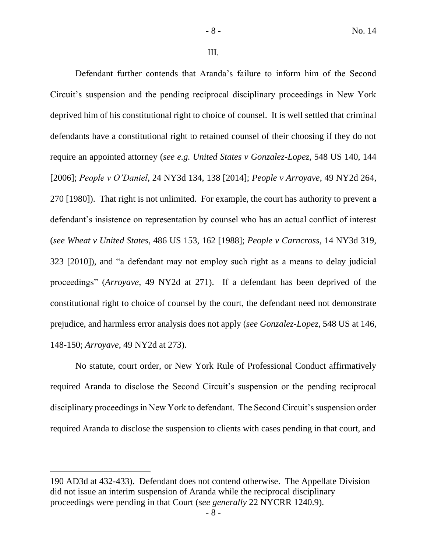III.

Defendant further contends that Aranda's failure to inform him of the Second Circuit's suspension and the pending reciprocal disciplinary proceedings in New York deprived him of his constitutional right to choice of counsel. It is well settled that criminal defendants have a constitutional right to retained counsel of their choosing if they do not require an appointed attorney (*see e.g. United States v Gonzalez-Lopez*, 548 US 140, 144 [2006]; *People v O'Daniel*, 24 NY3d 134, 138 [2014]; *People v Arroyave*, 49 NY2d 264, 270 [1980]). That right is not unlimited. For example, the court has authority to prevent a defendant's insistence on representation by counsel who has an actual conflict of interest (*see Wheat v United States*, 486 US 153, 162 [1988]; *People v Carncross*, 14 NY3d 319, 323 [2010]), and "a defendant may not employ such right as a means to delay judicial proceedings" (*Arroyave*, 49 NY2d at 271). If a defendant has been deprived of the constitutional right to choice of counsel by the court, the defendant need not demonstrate prejudice, and harmless error analysis does not apply (*see Gonzalez-Lopez*, 548 US at 146, 148-150; *Arroyave*, 49 NY2d at 273).

No statute, court order, or New York Rule of Professional Conduct affirmatively required Aranda to disclose the Second Circuit's suspension or the pending reciprocal disciplinary proceedings in New York to defendant. The Second Circuit's suspension order required Aranda to disclose the suspension to clients with cases pending in that court, and

<sup>190</sup> AD3d at 432-433). Defendant does not contend otherwise. The Appellate Division did not issue an interim suspension of Aranda while the reciprocal disciplinary proceedings were pending in that Court (*see generally* 22 NYCRR 1240.9).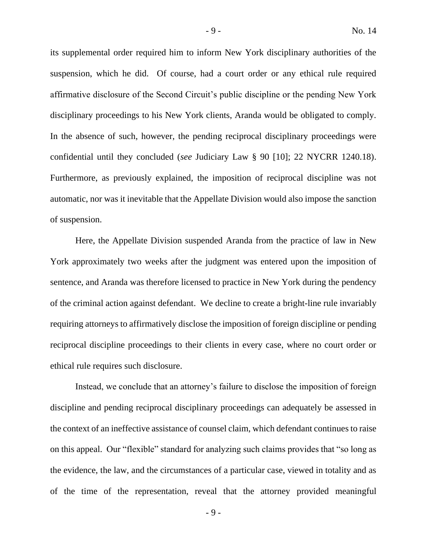its supplemental order required him to inform New York disciplinary authorities of the suspension, which he did. Of course, had a court order or any ethical rule required affirmative disclosure of the Second Circuit's public discipline or the pending New York disciplinary proceedings to his New York clients, Aranda would be obligated to comply. In the absence of such, however, the pending reciprocal disciplinary proceedings were confidential until they concluded (*see* Judiciary Law § 90 [10]; 22 NYCRR 1240.18). Furthermore, as previously explained, the imposition of reciprocal discipline was not automatic, nor was it inevitable that the Appellate Division would also impose the sanction of suspension.

Here, the Appellate Division suspended Aranda from the practice of law in New York approximately two weeks after the judgment was entered upon the imposition of sentence, and Aranda was therefore licensed to practice in New York during the pendency of the criminal action against defendant. We decline to create a bright-line rule invariably requiring attorneys to affirmatively disclose the imposition of foreign discipline or pending reciprocal discipline proceedings to their clients in every case, where no court order or ethical rule requires such disclosure.

Instead, we conclude that an attorney's failure to disclose the imposition of foreign discipline and pending reciprocal disciplinary proceedings can adequately be assessed in the context of an ineffective assistance of counsel claim, which defendant continues to raise on this appeal. Our "flexible" standard for analyzing such claims provides that "so long as the evidence, the law, and the circumstances of a particular case, viewed in totality and as of the time of the representation, reveal that the attorney provided meaningful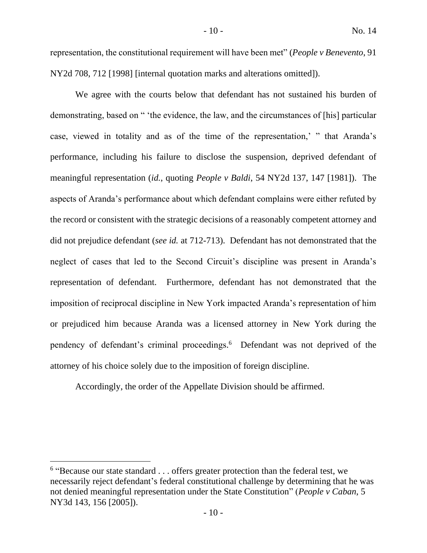representation, the constitutional requirement will have been met" (*People v Benevento*, 91 NY2d 708, 712 [1998] [internal quotation marks and alterations omitted]).

We agree with the courts below that defendant has not sustained his burden of demonstrating, based on " 'the evidence, the law, and the circumstances of [his] particular case, viewed in totality and as of the time of the representation,' " that Aranda's performance, including his failure to disclose the suspension, deprived defendant of meaningful representation (*id.*, quoting *People v Baldi*, 54 NY2d 137, 147 [1981]). The aspects of Aranda's performance about which defendant complains were either refuted by the record or consistent with the strategic decisions of a reasonably competent attorney and did not prejudice defendant (*see id.* at 712-713). Defendant has not demonstrated that the neglect of cases that led to the Second Circuit's discipline was present in Aranda's representation of defendant. Furthermore, defendant has not demonstrated that the imposition of reciprocal discipline in New York impacted Aranda's representation of him or prejudiced him because Aranda was a licensed attorney in New York during the pendency of defendant's criminal proceedings. 6 Defendant was not deprived of the attorney of his choice solely due to the imposition of foreign discipline.

Accordingly, the order of the Appellate Division should be affirmed.

<sup>&</sup>lt;sup>6</sup> "Because our state standard . . . offers greater protection than the federal test, we necessarily reject defendant's federal constitutional challenge by determining that he was not denied meaningful representation under the State Constitution" (*People v Caban*, 5 NY3d 143, 156 [2005]).